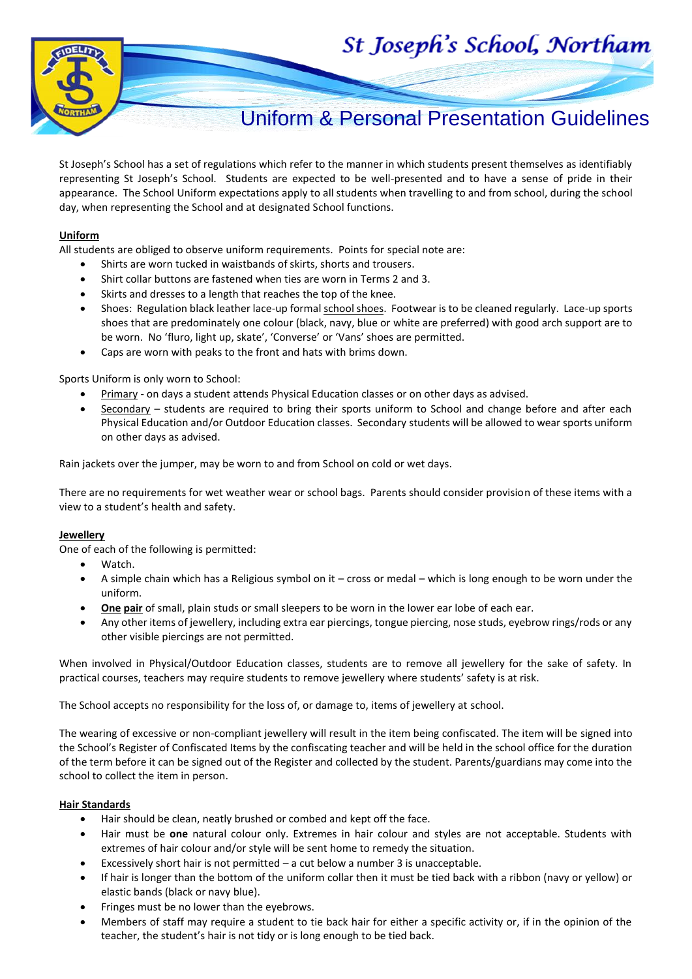



# Uniform & Personal Presentation Guidelines

St Joseph's School has a set of regulations which refer to the manner in which students present themselves as identifiably representing St Joseph's School. Students are expected to be well-presented and to have a sense of pride in their appearance. The School Uniform expectations apply to all students when travelling to and from school, during the school day, when representing the School and at designated School functions.

#### **Uniform**

All students are obliged to observe uniform requirements. Points for special note are:

- Shirts are worn tucked in waistbands of skirts, shorts and trousers.
- Shirt collar buttons are fastened when ties are worn in Terms 2 and 3.
- Skirts and dresses to a length that reaches the top of the knee.
- Shoes: Regulation black leather lace-up formal school shoes. Footwear is to be cleaned regularly. Lace-up sports shoes that are predominately one colour (black, navy, blue or white are preferred) with good arch support are to be worn. No 'fluro, light up, skate', 'Converse' or 'Vans' shoes are permitted.
- Caps are worn with peaks to the front and hats with brims down.

#### Sports Uniform is only worn to School:

- Primary on days a student attends Physical Education classes or on other days as advised.
- Secondary students are required to bring their sports uniform to School and change before and after each Physical Education and/or Outdoor Education classes. Secondary students will be allowed to wear sports uniform on other days as advised.

Rain jackets over the jumper, may be worn to and from School on cold or wet days.

There are no requirements for wet weather wear or school bags. Parents should consider provision of these items with a view to a student's health and safety.

#### **Jewellery**

One of each of the following is permitted:

- Watch.
- A simple chain which has a Religious symbol on it cross or medal which is long enough to be worn under the uniform.
- **One pair** of small, plain studs or small sleepers to be worn in the lower ear lobe of each ear.
- Any other items of jewellery, including extra ear piercings, tongue piercing, nose studs, eyebrow rings/rods or any other visible piercings are not permitted.

When involved in Physical/Outdoor Education classes, students are to remove all jewellery for the sake of safety. In practical courses, teachers may require students to remove jewellery where students' safety is at risk.

The School accepts no responsibility for the loss of, or damage to, items of jewellery at school.

The wearing of excessive or non-compliant jewellery will result in the item being confiscated. The item will be signed into the School's Register of Confiscated Items by the confiscating teacher and will be held in the school office for the duration of the term before it can be signed out of the Register and collected by the student. Parents/guardians may come into the school to collect the item in person.

#### **Hair Standards**

- Hair should be clean, neatly brushed or combed and kept off the face.
- Hair must be **one** natural colour only. Extremes in hair colour and styles are not acceptable. Students with extremes of hair colour and/or style will be sent home to remedy the situation.
- Excessively short hair is not permitted  $-$  a cut below a number 3 is unacceptable.
- If hair is longer than the bottom of the uniform collar then it must be tied back with a ribbon (navy or yellow) or elastic bands (black or navy blue).
- Fringes must be no lower than the eyebrows.
- Members of staff may require a student to tie back hair for either a specific activity or, if in the opinion of the teacher, the student's hair is not tidy or is long enough to be tied back.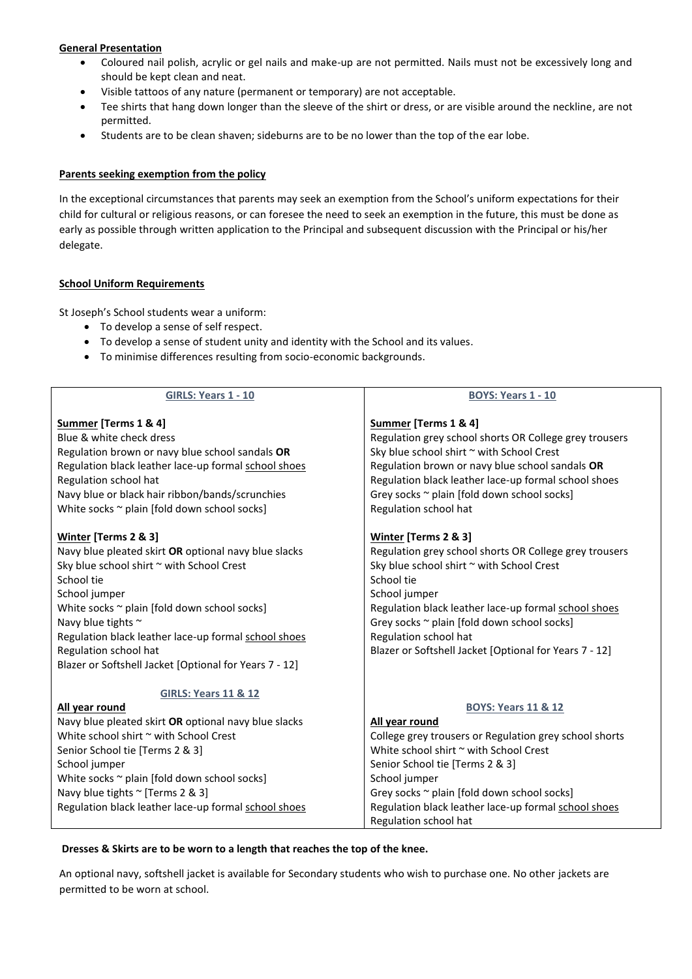# **General Presentation**

- Coloured nail polish, acrylic or gel nails and make-up are not permitted. Nails must not be excessively long and should be kept clean and neat.
- Visible tattoos of any nature (permanent or temporary) are not acceptable.
- Tee shirts that hang down longer than the sleeve of the shirt or dress, or are visible around the neckline, are not permitted.
- Students are to be clean shaven; sideburns are to be no lower than the top of the ear lobe.

## **Parents seeking exemption from the policy**

In the exceptional circumstances that parents may seek an exemption from the School's uniform expectations for their child for cultural or religious reasons, or can foresee the need to seek an exemption in the future, this must be done as early as possible through written application to the Principal and subsequent discussion with the Principal or his/her delegate.

# **School Uniform Requirements**

St Joseph's School students wear a uniform:

- To develop a sense of self respect.
- To develop a sense of student unity and identity with the School and its values.
- To minimise differences resulting from socio-economic backgrounds.

| <b>GIRLS: Years 1 - 10</b>                                                                                                                                                                                                                                                                                                                                                                                                                                                                                                                                                                                                                                                | <b>BOYS: Years 1 - 10</b>                                                                                                                                                                                                                                                                                                                                                                                                                                                                                                                                                                                                                                              |  |
|---------------------------------------------------------------------------------------------------------------------------------------------------------------------------------------------------------------------------------------------------------------------------------------------------------------------------------------------------------------------------------------------------------------------------------------------------------------------------------------------------------------------------------------------------------------------------------------------------------------------------------------------------------------------------|------------------------------------------------------------------------------------------------------------------------------------------------------------------------------------------------------------------------------------------------------------------------------------------------------------------------------------------------------------------------------------------------------------------------------------------------------------------------------------------------------------------------------------------------------------------------------------------------------------------------------------------------------------------------|--|
| Summer [Terms 1 & 4]<br>Blue & white check dress<br>Regulation brown or navy blue school sandals OR<br>Regulation black leather lace-up formal school shoes<br>Regulation school hat<br>Navy blue or black hair ribbon/bands/scrunchies<br>White socks ~ plain [fold down school socks]<br>Winter [Terms 2 & 3]<br>Navy blue pleated skirt OR optional navy blue slacks<br>Sky blue school shirt ~ with School Crest<br>School tie<br>School jumper<br>White socks ~ plain [fold down school socks]<br>Navy blue tights $\sim$<br>Regulation black leather lace-up formal school shoes<br>Regulation school hat<br>Blazer or Softshell Jacket [Optional for Years 7 - 12] | Summer [Terms 1 & 4]<br>Regulation grey school shorts OR College grey trousers<br>Sky blue school shirt ~ with School Crest<br>Regulation brown or navy blue school sandals OR<br>Regulation black leather lace-up formal school shoes<br>Grey socks ~ plain [fold down school socks]<br>Regulation school hat<br>Winter [Terms 2 & 3]<br>Regulation grey school shorts OR College grey trousers<br>Sky blue school shirt ~ with School Crest<br>School tie<br>School jumper<br>Regulation black leather lace-up formal school shoes<br>Grey socks ~ plain [fold down school socks]<br>Regulation school hat<br>Blazer or Softshell Jacket [Optional for Years 7 - 12] |  |
| <b>GIRLS: Years 11 &amp; 12</b><br>All year round<br>Navy blue pleated skirt OR optional navy blue slacks<br>White school shirt $\sim$ with School Crest<br>Senior School tie [Terms 2 & 3]<br>School jumper<br>White socks ~ plain [fold down school socks]<br>Navy blue tights ~ [Terms 2 & 3]<br>Regulation black leather lace-up formal school shoes                                                                                                                                                                                                                                                                                                                  | <b>BOYS: Years 11 &amp; 12</b><br>All year round<br>College grey trousers or Regulation grey school shorts<br>White school shirt ~ with School Crest<br>Senior School tie [Terms 2 & 3]<br>School jumper<br>Grey socks ~ plain [fold down school socks]<br>Regulation black leather lace-up formal school shoes<br>Regulation school hat                                                                                                                                                                                                                                                                                                                               |  |

## **Dresses & Skirts are to be worn to a length that reaches the top of the knee.**

An optional navy, softshell jacket is available for Secondary students who wish to purchase one. No other jackets are permitted to be worn at school.